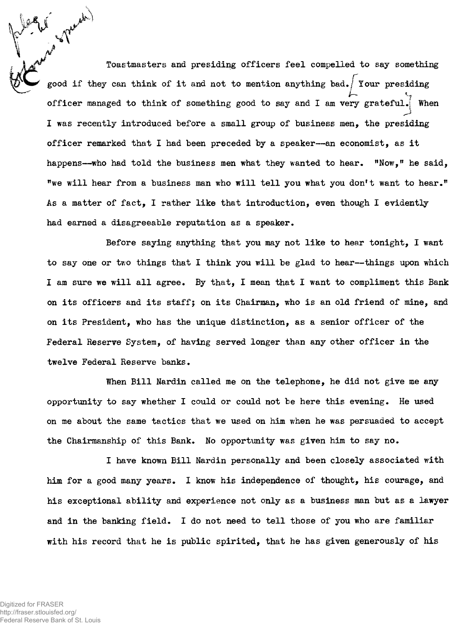**Toastmasters and presiding officers feel compelled to say something f** good if they can think of it and not to mention anything bad. I four presiding **officer managed to think of something good to say and I am very grateful.} When I was recently introduced before a small group of business men, the presiding officer remarked that I had been preceded by a speaker— an economist, as it happens— who had told the business men what they wanted to hear. "Now," he said, "we will hear from a business man who will tell you what you don't want to hear." As a matter of fact, I rather like that introduction, even though I evidently had earned a disagreeable reputation as a speaker.**

**Before saying anything that you may not like to hear tonight, I want to say one or two things that I think you will be glad to hear— things upon which I am sure we will all agree. By that, I mean that I want to compliment this Bank on its officers and its staffj on its Chairman, who is an old friend of mine, and on its President, who has the unique distinction, as a senior officer of the Federal Reserve System, of having served longer than any other officer in the twelve Federal Reserve banks.**

**When Bill Nardin called me on the telephone, he did not give me any opportunity to say whether I could or could not be here this evening. He used on me about the same tactics that we used on him when he was persuaded to accept the Chairmanship of this Bank. No opportunity was given him to say no.**

**I have known Bill Nardin personally and been closely associated with him for a good many years. I know his independence of thought, his courage, and his exceptional ability and experience not only as a business man but as a lawyer and in the banking field. I do not need to tell those of you who are familiar with his record that he is public spirited, that he has given generously of his**